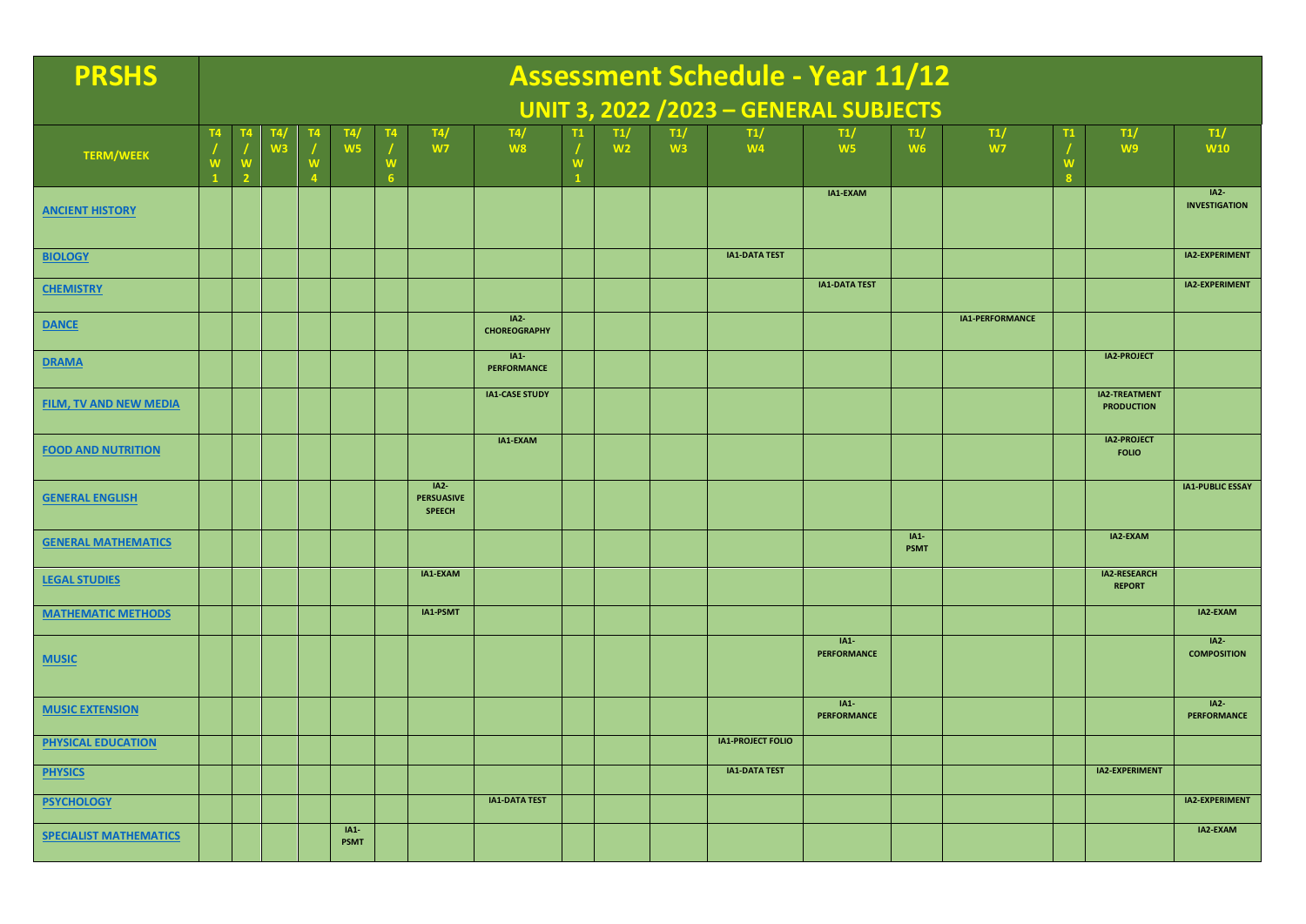| <b>PRSHS</b>                  |                     | <b>Assessment Schedule - Year 11/12</b>      |                |   |                       |        |                                              |                               |          |                       |           |                          |                              |                       |                  |               |                                           |                                |
|-------------------------------|---------------------|----------------------------------------------|----------------|---|-----------------------|--------|----------------------------------------------|-------------------------------|----------|-----------------------|-----------|--------------------------|------------------------------|-----------------------|------------------|---------------|-------------------------------------------|--------------------------------|
|                               |                     | <b>UNIT 3, 2022 /2023 - GENERAL SUBJECTS</b> |                |   |                       |        |                                              |                               |          |                       |           |                          |                              |                       |                  |               |                                           |                                |
| <b>TERM/WEEK</b>              | T <sub>4</sub><br>W | W<br>$\overline{\phantom{a}}$                | W <sub>3</sub> | W | T4,<br>W <sub>5</sub> | W<br>6 | T4/<br>W7                                    | T4/<br>W <sub>8</sub>         | <b>W</b> | T1/<br>W <sub>2</sub> | T1/<br>W3 | T1/<br>W <sub>4</sub>    | T1/<br>W <sub>5</sub>        | T1/<br>W <sub>6</sub> | T1/<br><b>W7</b> | T1<br>W<br>-8 | T1/<br>W <sub>9</sub>                     | T1/<br><b>W10</b>              |
| <b>ANCIENT HISTORY</b>        |                     |                                              |                |   |                       |        |                                              |                               |          |                       |           |                          | IA1-EXAM                     |                       |                  |               |                                           | $IA2-$<br><b>INVESTIGATION</b> |
| <b>BIOLOGY</b>                |                     |                                              |                |   |                       |        |                                              |                               |          |                       |           | <b>IA1-DATA TEST</b>     |                              |                       |                  |               |                                           | IA2-EXPERIMENT                 |
| <b>CHEMISTRY</b>              |                     |                                              |                |   |                       |        |                                              |                               |          |                       |           |                          | <b>IA1-DATA TEST</b>         |                       |                  |               |                                           | IA2-EXPERIMENT                 |
| <b>DANCE</b>                  |                     |                                              |                |   |                       |        |                                              | $IA2-$<br><b>CHOREOGRAPHY</b> |          |                       |           |                          |                              |                       | IA1-PERFORMANCE  |               |                                           |                                |
| <b>DRAMA</b>                  |                     |                                              |                |   |                       |        |                                              | $IA1-$<br><b>PERFORMANCE</b>  |          |                       |           |                          |                              |                       |                  |               | <b>IA2-PROJECT</b>                        |                                |
| <b>FILM, TV AND NEW MEDIA</b> |                     |                                              |                |   |                       |        |                                              | <b>IA1-CASE STUDY</b>         |          |                       |           |                          |                              |                       |                  |               | <b>IA2-TREATMENT</b><br><b>PRODUCTION</b> |                                |
| <b>FOOD AND NUTRITION</b>     |                     |                                              |                |   |                       |        |                                              | IA1-EXAM                      |          |                       |           |                          |                              |                       |                  |               | <b>IA2-PROJECT</b><br><b>FOLIO</b>        |                                |
| <b>GENERAL ENGLISH</b>        |                     |                                              |                |   |                       |        | $IA2-$<br><b>PERSUASIVE</b><br><b>SPEECH</b> |                               |          |                       |           |                          |                              |                       |                  |               |                                           | <b>IA1-PUBLIC ESSAY</b>        |
| <b>GENERAL MATHEMATICS</b>    |                     |                                              |                |   |                       |        |                                              |                               |          |                       |           |                          |                              | $IA1-$<br><b>PSMT</b> |                  |               | IA2-EXAM                                  |                                |
| <b>LEGAL STUDIES</b>          |                     |                                              |                |   |                       |        | IA1-EXAM                                     |                               |          |                       |           |                          |                              |                       |                  |               | IA2-RESEARCH<br><b>REPORT</b>             |                                |
| <b>MATHEMATIC METHODS</b>     |                     |                                              |                |   |                       |        | IA1-PSMT                                     |                               |          |                       |           |                          |                              |                       |                  |               |                                           | IA2-EXAM                       |
| <b>MUSIC</b>                  |                     |                                              |                |   |                       |        |                                              |                               |          |                       |           |                          | $IA1-$<br><b>PERFORMANCE</b> |                       |                  |               |                                           | $IA2-$<br><b>COMPOSITION</b>   |
| <b>MUSIC EXTENSION</b>        |                     |                                              |                |   |                       |        |                                              |                               |          |                       |           |                          | $IA1-$<br><b>PERFORMANCE</b> |                       |                  |               |                                           | $IA2-$<br>PERFORMANCE          |
| <b>PHYSICAL EDUCATION</b>     |                     |                                              |                |   |                       |        |                                              |                               |          |                       |           | <b>IA1-PROJECT FOLIO</b> |                              |                       |                  |               |                                           |                                |
| <b>PHYSICS</b>                |                     |                                              |                |   |                       |        |                                              |                               |          |                       |           | <b>IA1-DATA TEST</b>     |                              |                       |                  |               | <b>IA2-EXPERIMENT</b>                     |                                |
| <b>PSYCHOLOGY</b>             |                     |                                              |                |   |                       |        |                                              | <b>IA1-DATA TEST</b>          |          |                       |           |                          |                              |                       |                  |               |                                           | <b>IA2-EXPERIMENT</b>          |
| <b>SPECIALIST MATHEMATICS</b> |                     |                                              |                |   | $IA1-$<br><b>PSMT</b> |        |                                              |                               |          |                       |           |                          |                              |                       |                  |               |                                           | IA2-EXAM                       |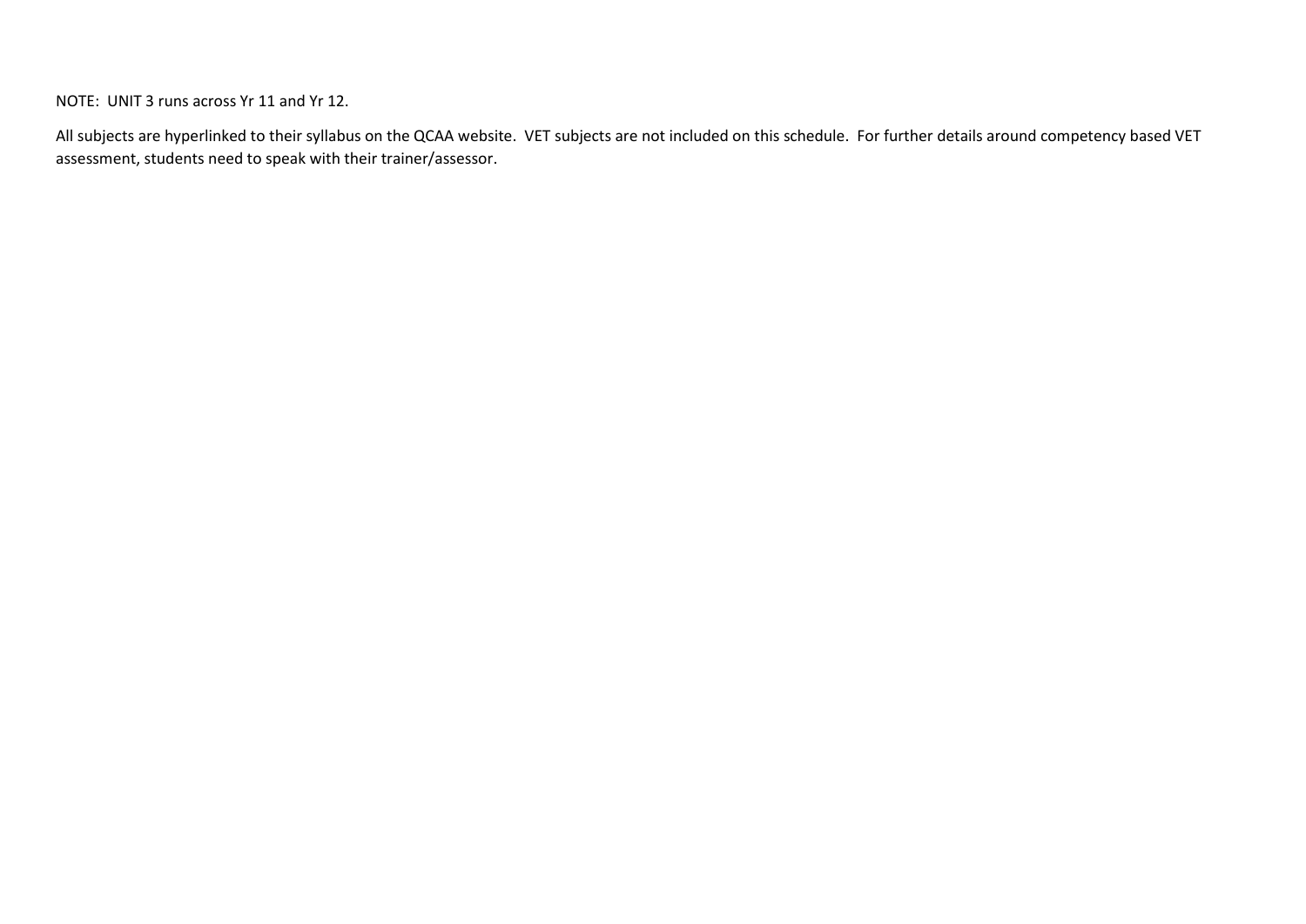NOTE: UNIT 3 runs across Yr 11 and Yr 12.

All subjects are hyperlinked to their syllabus on the QCAA website. VET subjects are not included on this schedule. For further details around competency based VET assessment, students need to speak with their trainer/assessor.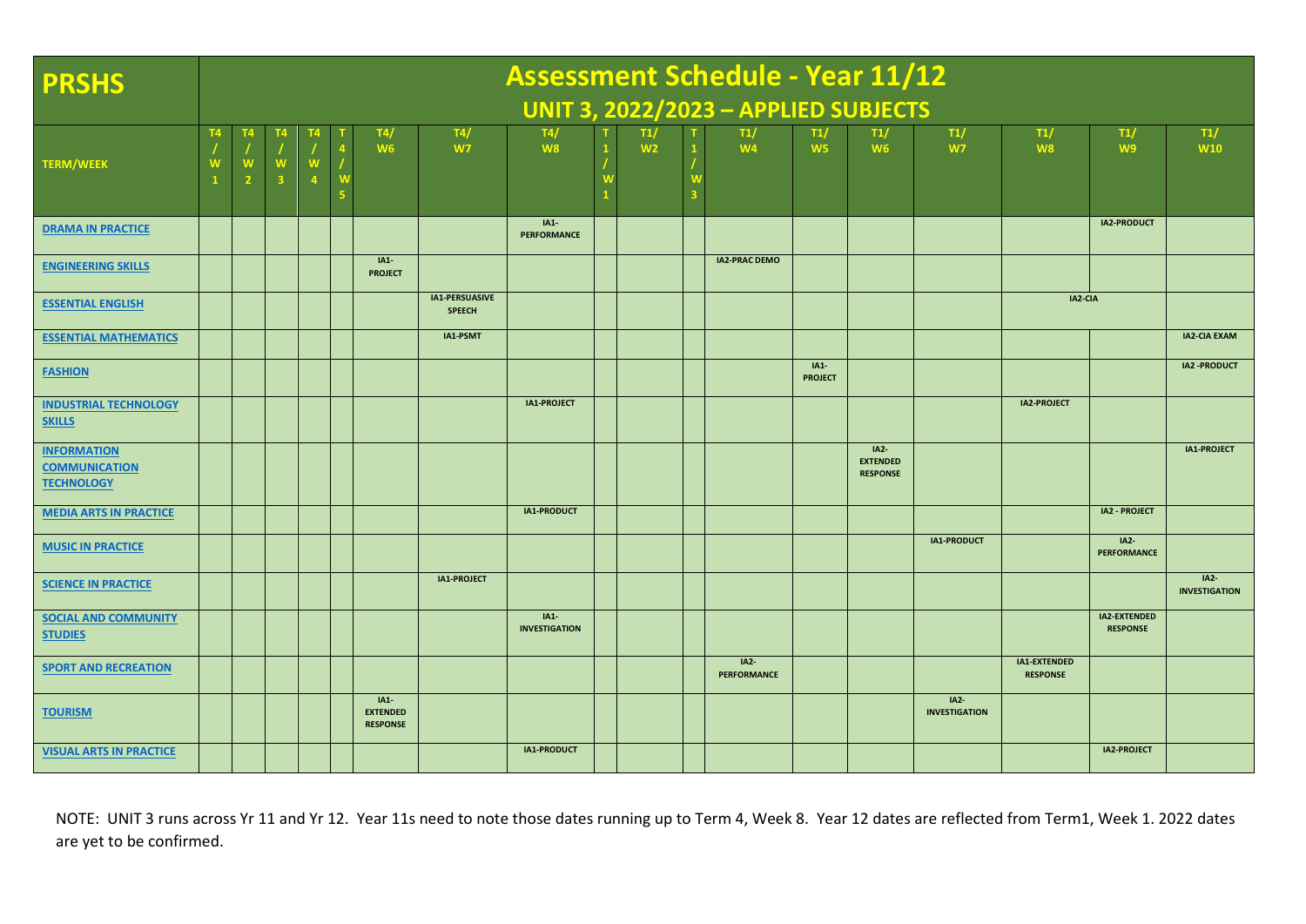| <b>PRSHS</b>                                                    | <b>Assessment Schedule - Year 11/12</b>     |                |   |  |  |                                              |                                 |                                |  |                       |              |                              |                          |                                              |                                |                                 |                                 |                                     |
|-----------------------------------------------------------------|---------------------------------------------|----------------|---|--|--|----------------------------------------------|---------------------------------|--------------------------------|--|-----------------------|--------------|------------------------------|--------------------------|----------------------------------------------|--------------------------------|---------------------------------|---------------------------------|-------------------------------------|
|                                                                 | <b>UNIT 3, 2022/2023 - APPLIED SUBJECTS</b> |                |   |  |  |                                              |                                 |                                |  |                       |              |                              |                          |                                              |                                |                                 |                                 |                                     |
| <b>TERM/WEEK</b>                                                |                                             | $\overline{2}$ | з |  |  | T4/<br><b>W6</b>                             | T4/<br>W <sub>7</sub>           | T4/<br>W <sub>8</sub>          |  | T1/<br>W <sub>2</sub> | $\mathbf{1}$ | T1/<br>W <sub>4</sub>        | T1/<br>W <sub>5</sub>    | T1/<br>W <sub>6</sub>                        | T1/<br>W7                      | T1/<br>W8                       | T1/<br>W <sub>9</sub>           | T1/<br><b>W10</b>                   |
| <b>DRAMA IN PRACTICE</b>                                        |                                             |                |   |  |  |                                              |                                 | $IA1-$<br><b>PERFORMANCE</b>   |  |                       |              |                              |                          |                                              |                                |                                 | IA2-PRODUCT                     |                                     |
| <b>ENGINEERING SKILLS</b>                                       |                                             |                |   |  |  | $IA1-$<br><b>PROJECT</b>                     |                                 |                                |  |                       |              | <b>IA2-PRAC DEMO</b>         |                          |                                              |                                |                                 |                                 |                                     |
| <b>ESSENTIAL ENGLISH</b>                                        |                                             |                |   |  |  |                                              | IA1-PERSUASIVE<br><b>SPEECH</b> |                                |  |                       |              |                              |                          |                                              |                                | IA2-CIA                         |                                 |                                     |
| <b>ESSENTIAL MATHEMATICS</b>                                    |                                             |                |   |  |  |                                              | IA1-PSMT                        |                                |  |                       |              |                              |                          |                                              |                                |                                 |                                 | <b>IA2-CIA EXAM</b>                 |
| <b>FASHION</b>                                                  |                                             |                |   |  |  |                                              |                                 |                                |  |                       |              |                              | $IA1-$<br><b>PROJECT</b> |                                              |                                |                                 |                                 | <b>IA2 -PRODUCT</b>                 |
| <b>INDUSTRIAL TECHNOLOGY</b><br><b>SKILLS</b>                   |                                             |                |   |  |  |                                              |                                 | IA1-PROJECT                    |  |                       |              |                              |                          |                                              |                                | <b>IA2-PROJECT</b>              |                                 |                                     |
| <b>INFORMATION</b><br><b>COMMUNICATION</b><br><b>TECHNOLOGY</b> |                                             |                |   |  |  |                                              |                                 |                                |  |                       |              |                              |                          | $IA2-$<br><b>EXTENDED</b><br><b>RESPONSE</b> |                                |                                 |                                 | <b>IA1-PROJECT</b>                  |
| <b>MEDIA ARTS IN PRACTICE</b>                                   |                                             |                |   |  |  |                                              |                                 | IA1-PRODUCT                    |  |                       |              |                              |                          |                                              |                                |                                 | <b>IA2 - PROJECT</b>            |                                     |
| <b>MUSIC IN PRACTICE</b>                                        |                                             |                |   |  |  |                                              |                                 |                                |  |                       |              |                              |                          |                                              | IA1-PRODUCT                    |                                 | $IA2-$<br><b>PERFORMANCE</b>    |                                     |
| <b>SCIENCE IN PRACTICE</b>                                      |                                             |                |   |  |  |                                              | <b>IA1-PROJECT</b>              |                                |  |                       |              |                              |                          |                                              |                                |                                 |                                 | <b>IA2-</b><br><b>INVESTIGATION</b> |
| <b>SOCIAL AND COMMUNITY</b><br><b>STUDIES</b>                   |                                             |                |   |  |  |                                              |                                 | $IA1-$<br><b>INVESTIGATION</b> |  |                       |              |                              |                          |                                              |                                |                                 | IA2-EXTENDED<br><b>RESPONSE</b> |                                     |
| <b>SPORT AND RECREATION</b>                                     |                                             |                |   |  |  |                                              |                                 |                                |  |                       |              | $IA2-$<br><b>PERFORMANCE</b> |                          |                                              |                                | IA1-EXTENDED<br><b>RESPONSE</b> |                                 |                                     |
| <b>TOURISM</b>                                                  |                                             |                |   |  |  | $IA1-$<br><b>EXTENDED</b><br><b>RESPONSE</b> |                                 |                                |  |                       |              |                              |                          |                                              | $IA2-$<br><b>INVESTIGATION</b> |                                 |                                 |                                     |
| <b>VISUAL ARTS IN PRACTICE</b>                                  |                                             |                |   |  |  |                                              |                                 | IA1-PRODUCT                    |  |                       |              |                              |                          |                                              |                                |                                 | IA2-PROJECT                     |                                     |

NOTE: UNIT 3 runs across Yr 11 and Yr 12. Year 11s need to note those dates running up to Term 4, Week 8. Year 12 dates are reflected from Term1, Week 1. 2022 dates are yet to be confirmed.